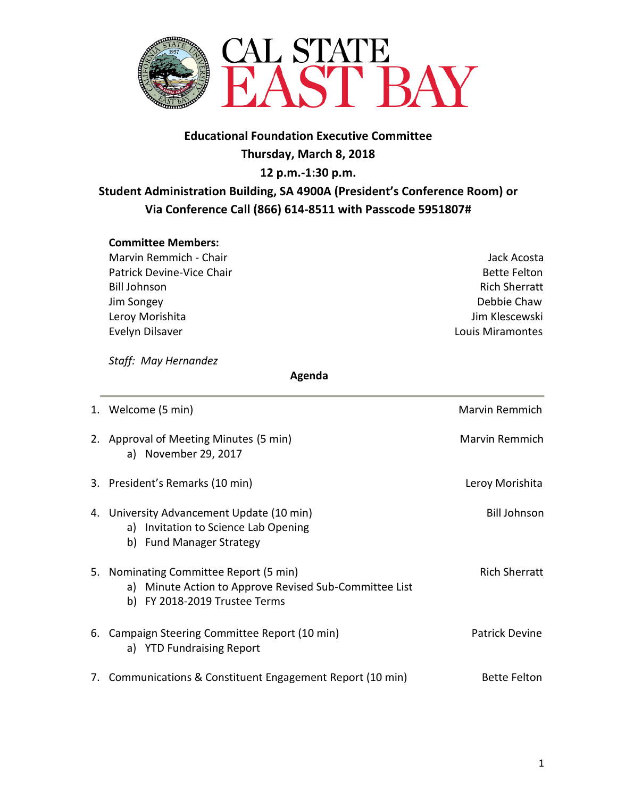

## **Educational Foundation Executive Committee Thursday, March 8, 2018 12 p.m.-1:30 p.m. Student Administration Building, SA 4900A (President's Conference Room) or Via Conference Call (866) 614-8511 with Passcode 5951807#**

## **Committee Members:**

Marvin Remmich - Chair Jack Acosta Patrick Devine-Vice Chair **Bette Felton** Bette Felton Bill Johnson Rich Sherratt Jim Songey Debbie Chaw Leroy Morishita **Jim Klescewski** Evelyn Dilsaver Louis Miramontes

*Staff: May Hernandez* 

 **Agenda**

| 1. Welcome (5 min)                                                                                                                | Marvin Remmich        |
|-----------------------------------------------------------------------------------------------------------------------------------|-----------------------|
| 2. Approval of Meeting Minutes (5 min)<br>a) November 29, 2017                                                                    | <b>Marvin Remmich</b> |
| 3. President's Remarks (10 min)                                                                                                   | Leroy Morishita       |
| 4. University Advancement Update (10 min)<br>a) Invitation to Science Lab Opening<br>b) Fund Manager Strategy                     | <b>Bill Johnson</b>   |
| 5. Nominating Committee Report (5 min)<br>a) Minute Action to Approve Revised Sub-Committee List<br>b) FY 2018-2019 Trustee Terms | <b>Rich Sherratt</b>  |
| 6. Campaign Steering Committee Report (10 min)<br>a) YTD Fundraising Report                                                       | <b>Patrick Devine</b> |
| 7. Communications & Constituent Engagement Report (10 min)                                                                        | <b>Bette Felton</b>   |